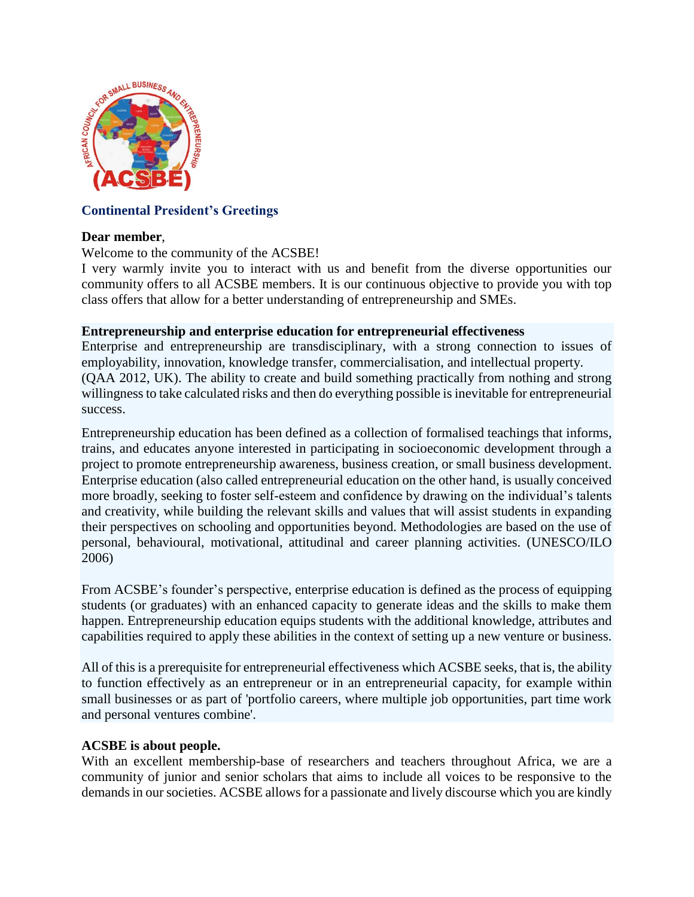

# **Continental President's Greetings**

### **Dear member**,

### Welcome to the community of the ACSBE!

I very warmly invite you to interact with us and benefit from the diverse opportunities our community offers to all ACSBE members. It is our continuous objective to provide you with top class offers that allow for a better understanding of entrepreneurship and SMEs.

### **Entrepreneurship and enterprise education for entrepreneurial effectiveness**

Enterprise and entrepreneurship are transdisciplinary, with a strong connection to issues of employability, innovation, knowledge transfer, commercialisation, and intellectual property. [\(QAA 2012, UK\)](javascript:divshow(). The ability to create and build something practically from nothing and strong willingness to take calculated risks and then do everything possible is inevitable for entrepreneurial success.

Entrepreneurship education has been defined as a collection of formalised teachings that informs, trains, and educates anyone interested in participating in socioeconomic development through a project to promote entrepreneurship awareness, business creation, or small business development. Enterprise education (also called entrepreneurial education on the other hand, is usually conceived more broadly, seeking to foster self-esteem and confidence by drawing on the individual's talents and creativity, while building the relevant skills and values that will assist students in expanding their perspectives on schooling and opportunities beyond. Methodologies are based on the use of personal, behavioural, motivational, attitudinal and career planning activities. [\(UNESCO/ILO](javascript:divshow()  [2006\)](javascript:divshow()

From ACSBE's founder's perspective, enterprise education is defined as the process of equipping students (or graduates) with an enhanced capacity to generate ideas and the skills to make them happen. Entrepreneurship education equips students with the additional knowledge, attributes and capabilities required to apply these abilities in the context of setting up a new venture or business.

All of this is a prerequisite for entrepreneurial effectiveness which ACSBE seeks, that is, the ability to function effectively as an entrepreneur or in an entrepreneurial capacity, for example within small businesses or as part of 'portfolio careers, where multiple job opportunities, part time work and personal ventures combine'.

### **ACSBE is about people.**

With an excellent membership-base of researchers and teachers throughout Africa, we are a community of junior and senior scholars that aims to include all voices to be responsive to the demands in our societies. ACSBE allows for a passionate and lively discourse which you are kindly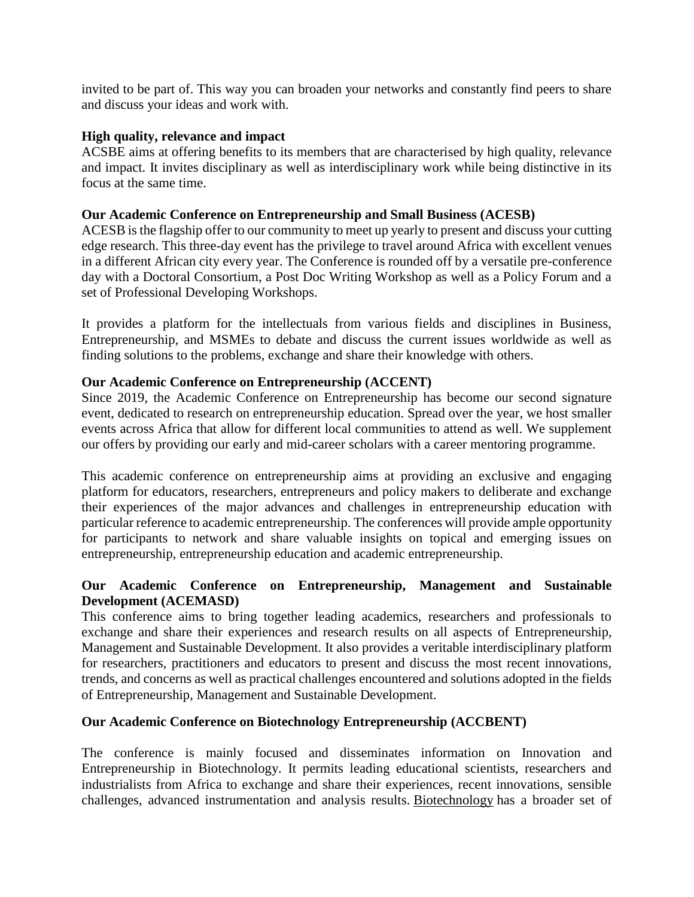invited to be part of. This way you can broaden your networks and constantly find peers to share and discuss your ideas and work with.

### **High quality, relevance and impact**

ACSBE aims at offering benefits to its members that are characterised by high quality, relevance and impact. It invites disciplinary as well as interdisciplinary work while being distinctive in its focus at the same time.

### **Our Academic Conference on Entrepreneurship and Small Business (ACESB)**

ACESB is the flagship offer to our community to meet up yearly to present and discuss your cutting edge research. This three-day event has the privilege to travel around Africa with excellent venues in a different African city every year. The Conference is rounded off by a versatile pre-conference day with a Doctoral Consortium, a Post Doc Writing Workshop as well as a Policy Forum and a set of Professional Developing Workshops.

It provides a platform for the intellectuals from various fields and disciplines in Business, Entrepreneurship, and MSMEs to debate and discuss the current issues worldwide as well as finding solutions to the problems, exchange and share their knowledge with others.

## **Our Academic Conference on Entrepreneurship (ACCENT)**

Since 2019, the Academic Conference on Entrepreneurship has become our second signature event, dedicated to research on entrepreneurship education. Spread over the year, we host smaller events across Africa that allow for different local communities to attend as well. We supplement our offers by providing our early and mid-career scholars with a career mentoring programme.

This academic conference on entrepreneurship aims at providing an exclusive and engaging platform for educators, researchers, entrepreneurs and policy makers to deliberate and exchange their experiences of the major advances and challenges in entrepreneurship education with particular reference to academic entrepreneurship. The conferences will provide ample opportunity for participants to network and share valuable insights on topical and emerging issues on entrepreneurship, entrepreneurship education and academic entrepreneurship.

## **Our Academic Conference on Entrepreneurship, Management and Sustainable Development (ACEMASD)**

This conference aims to bring together leading academics, researchers and professionals to exchange and share their experiences and research results on all aspects of Entrepreneurship, Management and Sustainable Development. It also provides a veritable interdisciplinary platform for researchers, practitioners and educators to present and discuss the most recent innovations, trends, and concerns as well as practical challenges encountered and solutions adopted in the fields of Entrepreneurship, Management and Sustainable Development.

## **Our Academic Conference on Biotechnology Entrepreneurship (ACCBENT)**

The conference is mainly focused and disseminates information on Innovation and Entrepreneurship in Biotechnology. It permits leading educational scientists, researchers and industrialists from Africa to exchange and share their experiences, recent innovations, sensible challenges, advanced instrumentation and analysis results. [Biotechnology](https://biotechnology.insightconferences.com/) has a broader set of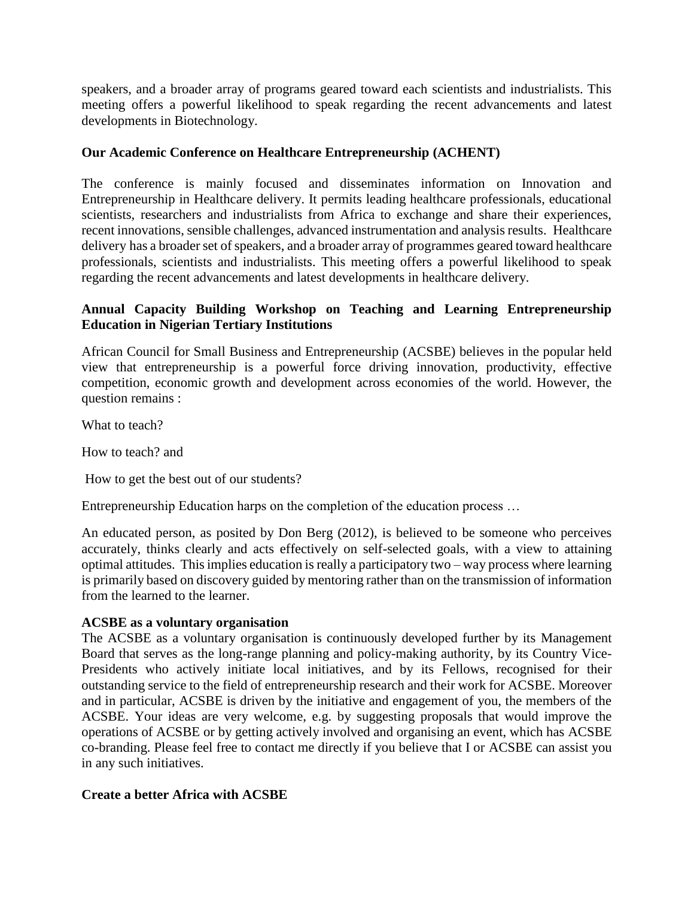speakers, and a broader array of programs geared toward each scientists and industrialists. This meeting offers a powerful likelihood to speak regarding the recent advancements and latest developments in Biotechnology.

## **Our Academic Conference on Healthcare Entrepreneurship (ACHENT)**

The conference is mainly focused and disseminates information on Innovation and Entrepreneurship in Healthcare delivery. It permits leading healthcare professionals, educational scientists, researchers and industrialists from Africa to exchange and share their experiences, recent innovations, sensible challenges, advanced instrumentation and analysis results. Healthcare delivery has a broader set of speakers, and a broader array of programmes geared toward healthcare professionals, scientists and industrialists. This meeting offers a powerful likelihood to speak regarding the recent advancements and latest developments in healthcare delivery.

# **Annual Capacity Building Workshop on Teaching and Learning Entrepreneurship Education in Nigerian Tertiary Institutions**

African Council for Small Business and Entrepreneurship (ACSBE) believes in the popular held view that entrepreneurship is a powerful force driving innovation, productivity, effective competition, economic growth and development across economies of the world. However, the question remains :

What to teach?

How to teach? and

How to get the best out of our students?

Entrepreneurship Education harps on the completion of the education process …

An educated person, as posited by Don Berg (2012), is believed to be someone who perceives accurately, thinks clearly and acts effectively on self-selected goals, with a view to attaining optimal attitudes. This implies education is really a participatory two – way process where learning is primarily based on discovery guided by mentoring rather than on the transmission of information from the learned to the learner.

### **ACSBE as a voluntary organisation**

The ACSBE as a voluntary organisation is continuously developed further by its Management Board that serves as the long-range planning and policy-making authority, by its Country Vice-Presidents who actively initiate local initiatives, and by its Fellows, recognised for their outstanding service to the field of entrepreneurship research and their work for ACSBE. Moreover and in particular, ACSBE is driven by the initiative and engagement of you, the members of the ACSBE. Your ideas are very welcome, e.g. by suggesting proposals that would improve the operations of ACSBE or by getting actively involved and organising an event, which has ACSBE co-branding. Please feel free to contact me directly if you believe that I or ACSBE can assist you in any such initiatives.

## **Create a better Africa with ACSBE**